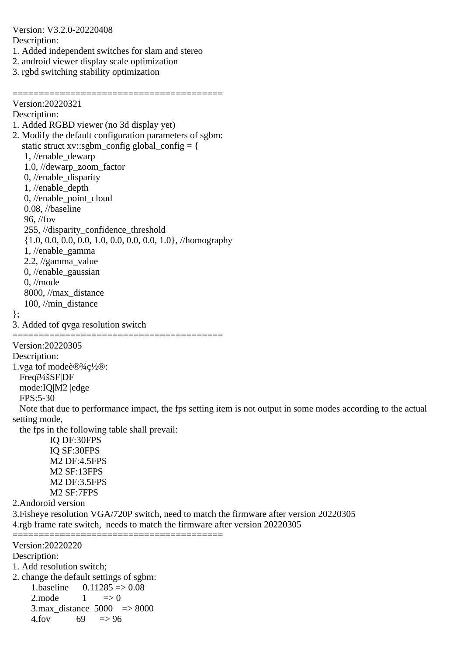Version: V3.2.0-20220408 Description: 1. Added independent switches for slam and stereo 2. android viewer display scale optimization 3. rgbd switching stability optimization ======================================== Version:20220321 Description: 1. Added RGBD viewer (no 3d display yet) 2. Modify the default configuration parameters of sgbm: static struct xv::sgbm\_config global\_config = { 1, //enable\_dewarp 1.0, //dewarp\_zoom\_factor 0, //enable\_disparity 1, //enable\_depth 0, //enable\_point\_cloud 0.08, //baseline 96, //fov 255, //disparity\_confidence\_threshold {1.0, 0.0, 0.0, 0.0, 1.0, 0.0, 0.0, 0.0, 1.0}, //homography 1, //enable\_gamma 2.2, //gamma\_value 0, //enable\_gaussian 0, //mode 8000, //max\_distance 100, //min\_distance }; 3. Added tof qvga resolution switch ======================================== Version:20220305 Description: 1.vga tof mode设c½®: Freqi<sup>1</sup>/4šSF|DF mode:IQ|M2 |edge FPS:5-30 Note that due to performance impact, the fps setting item is not output in some modes according to the actual setting mode, the fps in the following table shall prevail: IQ DF:30FPS IQ SF:30FPS M2 DF:4.5FPS M2 SF:13FPS M2 DF:3.5FPS M2 SF:7FPS 2.Andoroid version 3.Fisheye resolution VGA/720P switch, need to match the firmware after version 20220305 4.rgb frame rate switch, needs to match the firmware after version 20220305 ======================================== Version:20220220 Description: 1. Add resolution switch; 2. change the default settings of sgbm:

1.baseline  $0.11285 \approx 0.08$  $2 \text{ mode} \qquad 1 \qquad \Rightarrow 0$ 3.max distance  $5000 \Rightarrow 8000$  $4.$ fov 69  $\approx$  96